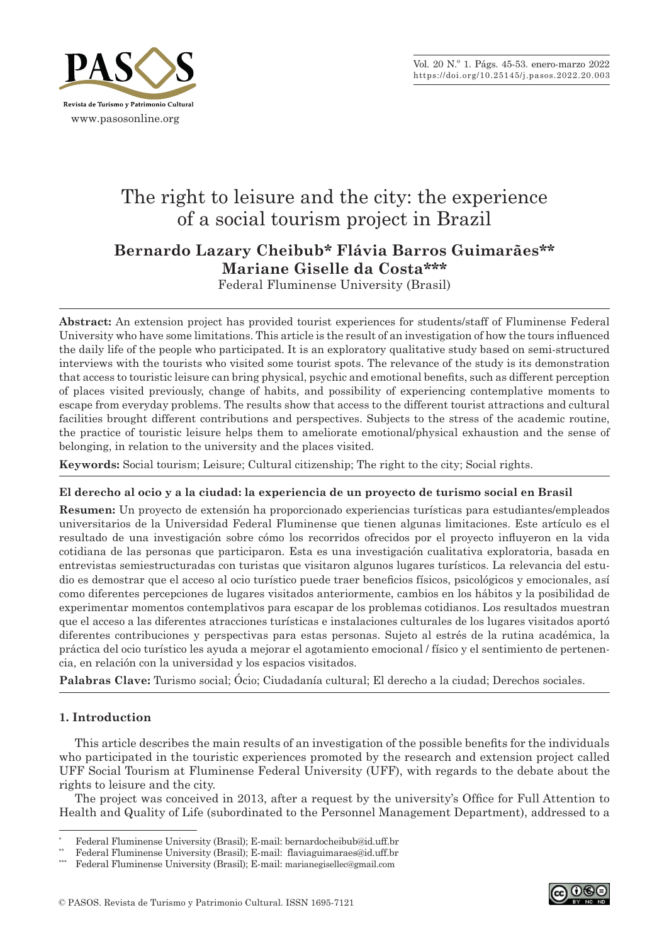

# The right to leisure and the city: the experience of a social tourism project in Brazil

**Bernardo Lazary Cheibub\* Flávia Barros Guimarães\*\* Mariane Giselle da Costa\*\*\***

Federal Fluminense University (Brasil)

**Abstract:** An extension project has provided tourist experiences for students/staff of Fluminense Federal University who have some limitations. This article is the result of an investigation of how the tours influenced the daily life of the people who participated. It is an exploratory qualitative study based on semi-structured interviews with the tourists who visited some tourist spots. The relevance of the study is its demonstration that access to touristic leisure can bring physical, psychic and emotional benefits, such as different perception of places visited previously, change of habits, and possibility of experiencing contemplative moments to escape from everyday problems. The results show that access to the different tourist attractions and cultural facilities brought different contributions and perspectives. Subjects to the stress of the academic routine, the practice of touristic leisure helps them to ameliorate emotional/physical exhaustion and the sense of belonging, in relation to the university and the places visited.

**Keywords:** Social tourism; Leisure; Cultural citizenship; The right to the city; Social rights.

# **El derecho al ocio y a la ciudad: la experiencia de un proyecto de turismo social en Brasil**

**Resumen:** Un proyecto de extensión ha proporcionado experiencias turísticas para estudiantes/empleados universitarios de la Universidad Federal Fluminense que tienen algunas limitaciones. Este artículo es el resultado de una investigación sobre cómo los recorridos ofrecidos por el proyecto influyeron en la vida cotidiana de las personas que participaron. Esta es una investigación cualitativa exploratoria, basada en entrevistas semiestructuradas con turistas que visitaron algunos lugares turísticos. La relevancia del estudio es demostrar que el acceso al ocio turístico puede traer beneficios físicos, psicológicos y emocionales, así como diferentes percepciones de lugares visitados anteriormente, cambios en los hábitos y la posibilidad de experimentar momentos contemplativos para escapar de los problemas cotidianos. Los resultados muestran que el acceso a las diferentes atracciones turísticas e instalaciones culturales de los lugares visitados aportó diferentes contribuciones y perspectivas para estas personas. Sujeto al estrés de la rutina académica, la práctica del ocio turístico les ayuda a mejorar el agotamiento emocional / físico y el sentimiento de pertenencia, en relación con la universidad y los espacios visitados.

**Palabras Clave:** Turismo social; Ócio; Ciudadanía cultural; El derecho a la ciudad; Derechos sociales.

# **1. Introduction**

This article describes the main results of an investigation of the possible benefits for the individuals who participated in the touristic experiences promoted by the research and extension project called UFF Social Tourism at Fluminense Federal University (UFF), with regards to the debate about the rights to leisure and the city.

The project was conceived in 2013, after a request by the university's Office for Full Attention to Health and Quality of Life (subordinated to the Personnel Management Department), addressed to a

<sup>\*</sup> Federal Fluminense University (Brasil); E-mail: bernardocheibub@id.uff.br

<sup>\*\*</sup> Federal Fluminense University (Brasil); E-mail: flaviaguimaraes@id.uff.br

<sup>\*\*\*</sup> Federal Fluminense University (Brasil); E-mail: marianegisellec@gmail.com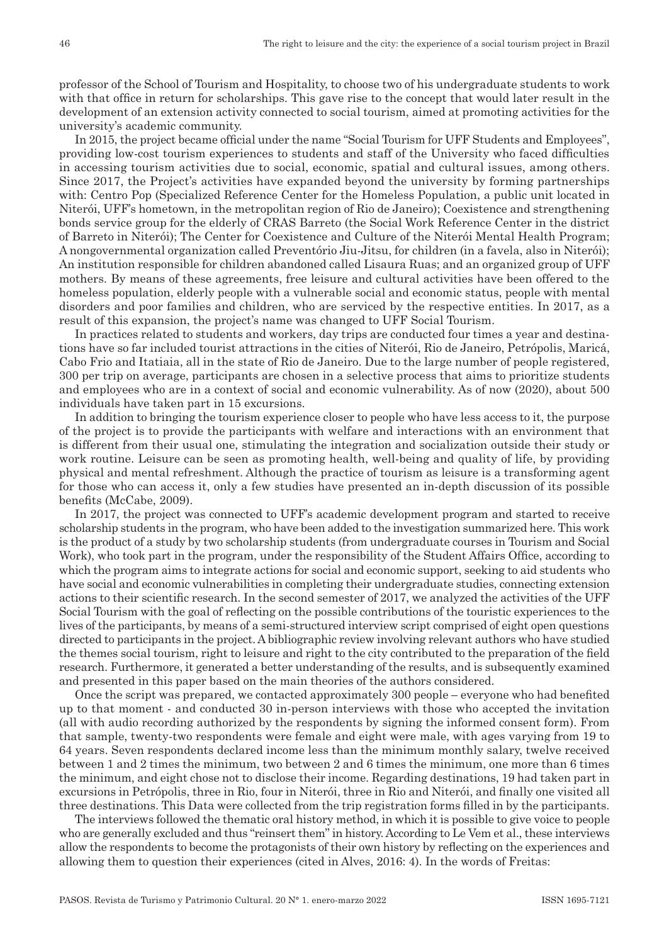professor of the School of Tourism and Hospitality, to choose two of his undergraduate students to work with that office in return for scholarships. This gave rise to the concept that would later result in the development of an extension activity connected to social tourism, aimed at promoting activities for the university's academic community.

In 2015, the project became official under the name "Social Tourism for UFF Students and Employees", providing low -cost tourism experiences to students and staff of the University who faced difficulties in accessing tourism activities due to social, economic, spatial and cultural issues, among others. Since 2017, the Project's activities have expanded beyond the university by forming partnerships with: Centro Pop (Specialized Reference Center for the Homeless Population, a public unit located in Niterói, UFF's hometown, in the metropolitan region of Rio de Janeiro); Coexistence and strengthening bonds service group for the elderly of CRAS Barreto (the Social Work Reference Center in the district of Barreto in Niterói); The Center for Coexistence and Culture of the Niterói Mental Health Program; A nongovernmental organization called Preventório Jiu -Jitsu, for children (in a favela, also in Niterói); An institution responsible for children abandoned called Lisaura Ruas; and an organized group of UFF mothers. By means of these agreements, free leisure and cultural activities have been offered to the homeless population, elderly people with a vulnerable social and economic status, people with mental disorders and poor families and children, who are serviced by the respective entities. In 2017, as a result of this expansion, the project's name was changed to UFF Social Tourism.

In practices related to students and workers, day trips are conducted four times a year and destinations have so far included tourist attractions in the cities of Niterói, Rio de Janeiro, Petrópolis, Maricá, Cabo Frio and Itatiaia, all in the state of Rio de Janeiro. Due to the large number of people registered, 300 per trip on average, participants are chosen in a selective process that aims to prioritize students and employees who are in a context of social and economic vulnerability. As of now (2020), about 500 individuals have taken part in 15 excursions.

In addition to bringing the tourism experience closer to people who have less access to it, the purpose of the project is to provide the participants with welfare and interactions with an environment that is different from their usual one, stimulating the integration and socialization outside their study or work routine. Leisure can be seen as promoting health, well -being and quality of life, by providing physical and mental refreshment. Although the practice of tourism as leisure is a transforming agent for those who can access it, only a few studies have presented an in -depth discussion of its possible benefits (McCabe, 2009).

In 2017, the project was connected to UFF's academic development program and started to receive scholarship students in the program, who have been added to the investigation summarized here. This work is the product of a study by two scholarship students (from undergraduate courses in Tourism and Social Work), who took part in the program, under the responsibility of the Student Affairs Office, according to which the program aims to integrate actions for social and economic support, seeking to aid students who have social and economic vulnerabilities in completing their undergraduate studies, connecting extension actions to their scientific research. In the second semester of 2017, we analyzed the activities of the UFF Social Tourism with the goal of reflecting on the possible contributions of the touristic experiences to the lives of the participants, by means of a semi -structured interview script comprised of eight open questions directed to participants in the project. A bibliographic review involving relevant authors who have studied the themes social tourism, right to leisure and right to the city contributed to the preparation of the field research. Furthermore, it generated a better understanding of the results, and is subsequently examined and presented in this paper based on the main theories of the authors considered.

Once the script was prepared, we contacted approximately 300 people – everyone who had benefited up to that moment - and conducted 30 in -person interviews with those who accepted the invitation (all with audio recording authorized by the respondents by signing the informed consent form). From that sample, twenty -two respondents were female and eight were male, with ages varying from 19 to 64 years. Seven respondents declared income less than the minimum monthly salary, twelve received between 1 and 2 times the minimum, two between 2 and 6 times the minimum, one more than 6 times the minimum, and eight chose not to disclose their income. Regarding destinations, 19 had taken part in excursions in Petrópolis, three in Rio, four in Niterói, three in Rio and Niterói, and finally one visited all three destinations. This Data were collected from the trip registration forms filled in by the participants.

The interviews followed the thematic oral history method, in which it is possible to give voice to people who are generally excluded and thus "reinsert them" in history. According to Le Vem et al., these interviews allow the respondents to become the protagonists of their own history by reflecting on the experiences and allowing them to question their experiences (cited in Alves, 2016: 4). In the words of Freitas: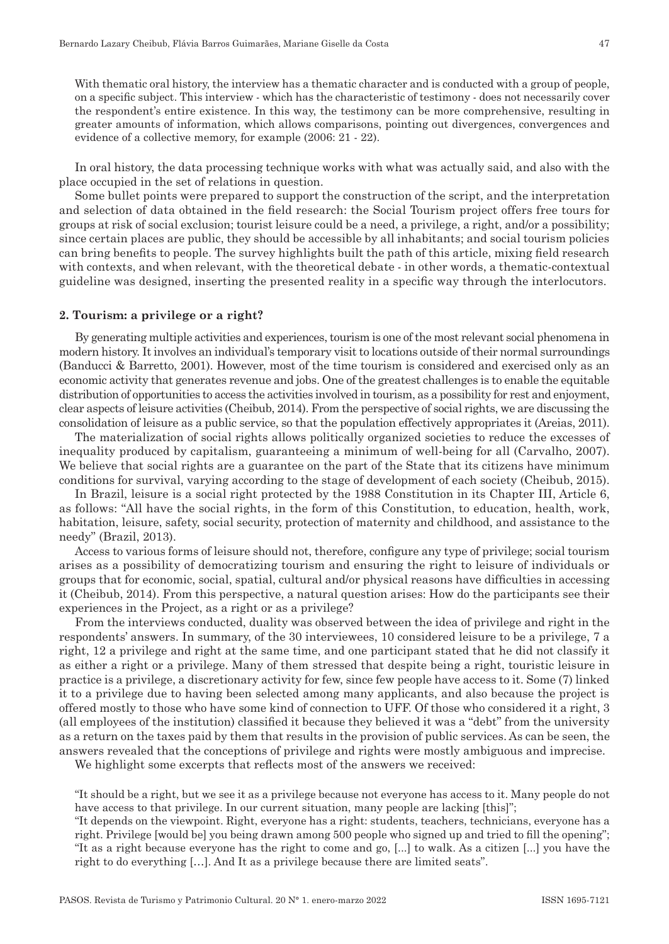With thematic oral history, the interview has a thematic character and is conducted with a group of people, on a specific subject. This interview - which has the characteristic of testimony - does not necessarily cover the respondent's entire existence. In this way, the testimony can be more comprehensive, resulting in greater amounts of information, which allows comparisons, pointing out divergences, convergences and evidence of a collective memory, for example (2006: 21 - 22).

In oral history, the data processing technique works with what was actually said, and also with the place occupied in the set of relations in question.

Some bullet points were prepared to support the construction of the script, and the interpretation and selection of data obtained in the field research: the Social Tourism project offers free tours for groups at risk of social exclusion; tourist leisure could be a need, a privilege, a right, and/or a possibility; since certain places are public, they should be accessible by all inhabitants; and social tourism policies can bring benefits to people. The survey highlights built the path of this article, mixing field research with contexts, and when relevant, with the theoretical debate - in other words, a thematic -contextual guideline was designed, inserting the presented reality in a specific way through the interlocutors.

#### **2. Tourism: a privilege or a right?**

By generating multiple activities and experiences, tourism is one of the most relevant social phenomena in modern history. It involves an individual's temporary visit to locations outside of their normal surroundings (Banducci & Barretto, 2001). However, most of the time tourism is considered and exercised only as an economic activity that generates revenue and jobs. One of the greatest challenges is to enable the equitable distribution of opportunities to access the activities involved in tourism, as a possibility for rest and enjoyment, clear aspects of leisure activities (Cheibub, 2014). From the perspective of social rights, we are discussing the consolidation of leisure as a public service, so that the population effectively appropriates it (Areias, 2011).

The materialization of social rights allows politically organized societies to reduce the excesses of inequality produced by capitalism, guaranteeing a minimum of well -being for all (Carvalho, 2007). We believe that social rights are a guarantee on the part of the State that its citizens have minimum conditions for survival, varying according to the stage of development of each society (Cheibub, 2015).

In Brazil, leisure is a social right protected by the 1988 Constitution in its Chapter III, Article 6, as follows: "All have the social rights, in the form of this Constitution, to education, health, work, habitation, leisure, safety, social security, protection of maternity and childhood, and assistance to the needy" (Brazil, 2013).

Access to various forms of leisure should not, therefore, configure any type of privilege; social tourism arises as a possibility of democratizing tourism and ensuring the right to leisure of individuals or groups that for economic, social, spatial, cultural and/or physical reasons have difficulties in accessing it (Cheibub, 2014). From this perspective, a natural question arises: How do the participants see their experiences in the Project, as a right or as a privilege?

From the interviews conducted, duality was observed between the idea of privilege and right in the respondents' answers. In summary, of the 30 interviewees, 10 considered leisure to be a privilege, 7 a right, 12 a privilege and right at the same time, and one participant stated that he did not classify it as either a right or a privilege. Many of them stressed that despite being a right, touristic leisure in practice is a privilege, a discretionary activity for few, since few people have access to it. Some (7) linked it to a privilege due to having been selected among many applicants, and also because the project is offered mostly to those who have some kind of connection to UFF. Of those who considered it a right, 3 (all employees of the institution) classified it because they believed it was a "debt" from the university as a return on the taxes paid by them that results in the provision of public services. As can be seen, the answers revealed that the conceptions of privilege and rights were mostly ambiguous and imprecise.

We highlight some excerpts that reflects most of the answers we received:

"It should be a right, but we see it as a privilege because not everyone has access to it. Many people do not have access to that privilege. In our current situation, many people are lacking [this]";

"It depends on the viewpoint. Right, everyone has a right: students, teachers, technicians, everyone has a right. Privilege [would be] you being drawn among 500 people who signed up and tried to fill the opening"; "It as a right because everyone has the right to come and go, [...] to walk. As a citizen [...] you have the right to do everything […]. And It as a privilege because there are limited seats".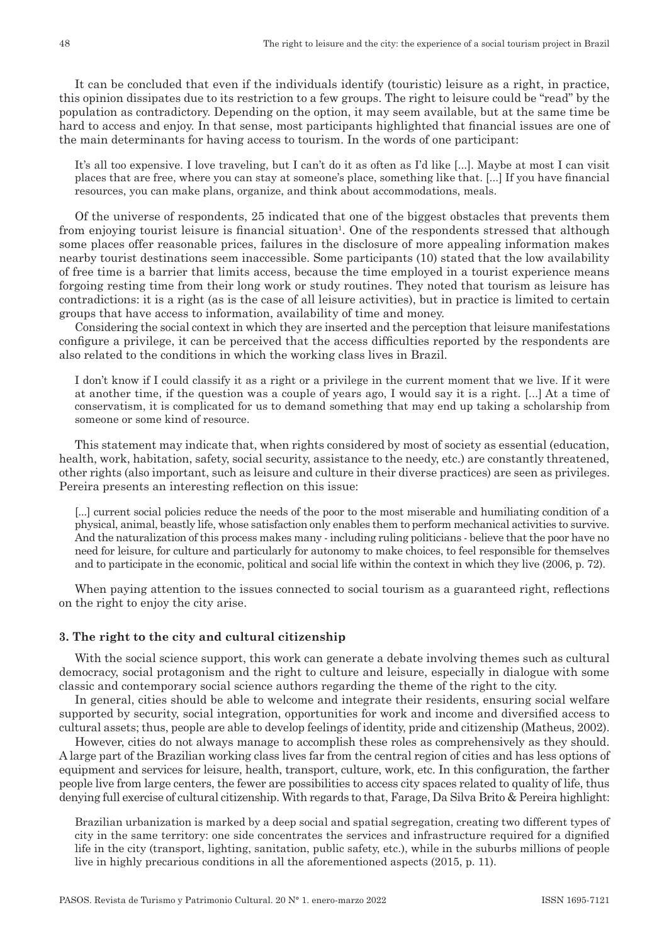It can be concluded that even if the individuals identify (touristic) leisure as a right, in practice, this opinion dissipates due to its restriction to a few groups. The right to leisure could be "read" by the population as contradictory. Depending on the option, it may seem available, but at the same time be hard to access and enjoy. In that sense, most participants highlighted that financial issues are one of the main determinants for having access to tourism. In the words of one participant:

It's all too expensive. I love traveling, but I can't do it as often as I'd like [...]. Maybe at most I can visit places that are free, where you can stay at someone's place, something like that. [...] If you have financial resources, you can make plans, organize, and think about accommodations, meals.

Of the universe of respondents, 25 indicated that one of the biggest obstacles that prevents them from enjoying tourist leisure is financial situation<sup>1</sup>. One of the respondents stressed that although some places offer reasonable prices, failures in the disclosure of more appealing information makes nearby tourist destinations seem inaccessible. Some participants (10) stated that the low availability of free time is a barrier that limits access, because the time employed in a tourist experience means forgoing resting time from their long work or study routines. They noted that tourism as leisure has contradictions: it is a right (as is the case of all leisure activities), but in practice is limited to certain groups that have access to information, availability of time and money.

Considering the social context in which they are inserted and the perception that leisure manifestations configure a privilege, it can be perceived that the access difficulties reported by the respondents are also related to the conditions in which the working class lives in Brazil.

I don't know if I could classify it as a right or a privilege in the current moment that we live. If it were at another time, if the question was a couple of years ago, I would say it is a right. [...] At a time of conservatism, it is complicated for us to demand something that may end up taking a scholarship from someone or some kind of resource.

This statement may indicate that, when rights considered by most of society as essential (education, health, work, habitation, safety, social security, assistance to the needy, etc.) are constantly threatened, other rights (also important, such as leisure and culture in their diverse practices) are seen as privileges. Pereira presents an interesting reflection on this issue:

[...] current social policies reduce the needs of the poor to the most miserable and humiliating condition of a physical, animal, beastly life, whose satisfaction only enables them to perform mechanical activities to survive. And the naturalization of this process makes many - including ruling politicians - believe that the poor have no need for leisure, for culture and particularly for autonomy to make choices, to feel responsible for themselves and to participate in the economic, political and social life within the context in which they live (2006, p. 72).

When paying attention to the issues connected to social tourism as a guaranteed right, reflections on the right to enjoy the city arise.

### **3. The right to the city and cultural citizenship**

With the social science support, this work can generate a debate involving themes such as cultural democracy, social protagonism and the right to culture and leisure, especially in dialogue with some classic and contemporary social science authors regarding the theme of the right to the city.

In general, cities should be able to welcome and integrate their residents, ensuring social welfare supported by security, social integration, opportunities for work and income and diversified access to cultural assets; thus, people are able to develop feelings of identity, pride and citizenship (Matheus, 2002).

However, cities do not always manage to accomplish these roles as comprehensively as they should. A large part of the Brazilian working class lives far from the central region of cities and has less options of equipment and services for leisure, health, transport, culture, work, etc. In this configuration, the farther people live from large centers, the fewer are possibilities to access city spaces related to quality of life, thus denying full exercise of cultural citizenship. With regards to that, Farage, Da Silva Brito & Pereira highlight:

Brazilian urbanization is marked by a deep social and spatial segregation, creating two different types of city in the same territory: one side concentrates the services and infrastructure required for a dignified life in the city (transport, lighting, sanitation, public safety, etc.), while in the suburbs millions of people live in highly precarious conditions in all the aforementioned aspects (2015, p. 11).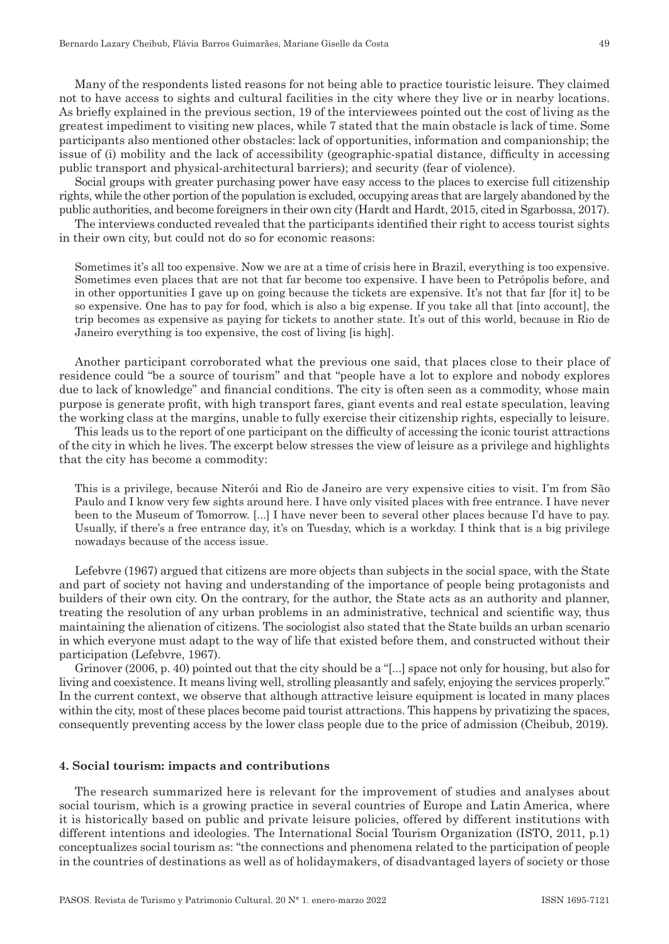Many of the respondents listed reasons for not being able to practice touristic leisure. They claimed not to have access to sights and cultural facilities in the city where they live or in nearby locations. As briefly explained in the previous section, 19 of the interviewees pointed out the cost of living as the greatest impediment to visiting new places, while 7 stated that the main obstacle is lack of time. Some participants also mentioned other obstacles: lack of opportunities, information and companionship; the issue of (i) mobility and the lack of accessibility (geographic -spatial distance, difficulty in accessing public transport and physical -architectural barriers); and security (fear of violence).

Social groups with greater purchasing power have easy access to the places to exercise full citizenship rights, while the other portion of the population is excluded, occupying areas that are largely abandoned by the public authorities, and become foreigners in their own city (Hardt and Hardt, 2015, cited in Sgarbossa, 2017).

The interviews conducted revealed that the participants identified their right to access tourist sights in their own city, but could not do so for economic reasons:

Sometimes it's all too expensive. Now we are at a time of crisis here in Brazil, everything is too expensive. Sometimes even places that are not that far become too expensive. I have been to Petrópolis before, and in other opportunities I gave up on going because the tickets are expensive. It's not that far [for it] to be so expensive. One has to pay for food, which is also a big expense. If you take all that [into account], the trip becomes as expensive as paying for tickets to another state. It's out of this world, because in Rio de Janeiro everything is too expensive, the cost of living [is high].

Another participant corroborated what the previous one said, that places close to their place of residence could "be a source of tourism" and that "people have a lot to explore and nobody explores due to lack of knowledge" and financial conditions. The city is often seen as a commodity, whose main purpose is generate profit, with high transport fares, giant events and real estate speculation, leaving the working class at the margins, unable to fully exercise their citizenship rights, especially to leisure.

This leads us to the report of one participant on the difficulty of accessing the iconic tourist attractions of the city in which he lives. The excerpt below stresses the view of leisure as a privilege and highlights that the city has become a commodity:

This is a privilege, because Niterói and Rio de Janeiro are very expensive cities to visit. I'm from São Paulo and I know very few sights around here. I have only visited places with free entrance. I have never been to the Museum of Tomorrow. [...] I have never been to several other places because I'd have to pay. Usually, if there's a free entrance day, it's on Tuesday, which is a workday. I think that is a big privilege nowadays because of the access issue.

Lefebvre (1967) argued that citizens are more objects than subjects in the social space, with the State and part of society not having and understanding of the importance of people being protagonists and builders of their own city. On the contrary, for the author, the State acts as an authority and planner, treating the resolution of any urban problems in an administrative, technical and scientific way, thus maintaining the alienation of citizens. The sociologist also stated that the State builds an urban scenario in which everyone must adapt to the way of life that existed before them, and constructed without their participation (Lefebvre, 1967).

Grinover (2006, p. 40) pointed out that the city should be a "[...] space not only for housing, but also for living and coexistence. It means living well, strolling pleasantly and safely, enjoying the services properly." In the current context, we observe that although attractive leisure equipment is located in many places within the city, most of these places become paid tourist attractions. This happens by privatizing the spaces, consequently preventing access by the lower class people due to the price of admission (Cheibub, 2019).

#### **4. Social tourism: impacts and contributions**

The research summarized here is relevant for the improvement of studies and analyses about social tourism, which is a growing practice in several countries of Europe and Latin America, where it is historically based on public and private leisure policies, offered by different institutions with different intentions and ideologies. The International Social Tourism Organization (ISTO, 2011, p.1) conceptualizes social tourism as: "the connections and phenomena related to the participation of people in the countries of destinations as well as of holidaymakers, of disadvantaged layers of society or those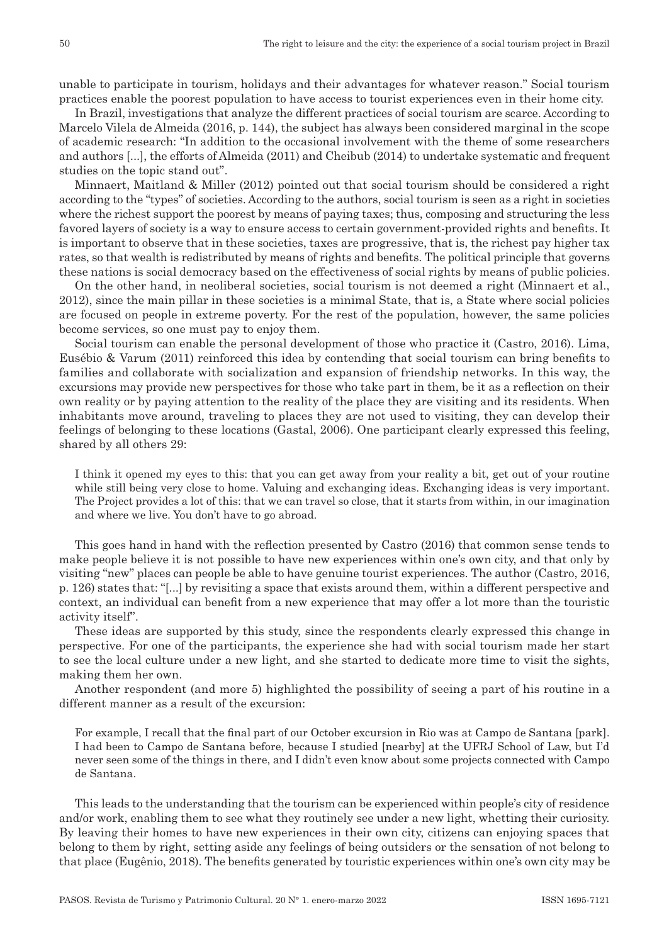unable to participate in tourism, holidays and their advantages for whatever reason." Social tourism practices enable the poorest population to have access to tourist experiences even in their home city.

In Brazil, investigations that analyze the different practices of social tourism are scarce. According to Marcelo Vilela de Almeida (2016, p. 144), the subject has always been considered marginal in the scope of academic research: "In addition to the occasional involvement with the theme of some researchers and authors [...], the efforts of Almeida (2011) and Cheibub (2014) to undertake systematic and frequent studies on the topic stand out".

Minnaert, Maitland & Miller (2012) pointed out that social tourism should be considered a right according to the "types" of societies. According to the authors, social tourism is seen as a right in societies where the richest support the poorest by means of paying taxes; thus, composing and structuring the less favored layers of society is a way to ensure access to certain government -provided rights and benefits. It is important to observe that in these societies, taxes are progressive, that is, the richest pay higher tax rates, so that wealth is redistributed by means of rights and benefits. The political principle that governs these nations is social democracy based on the effectiveness of social rights by means of public policies.

On the other hand, in neoliberal societies, social tourism is not deemed a right (Minnaert et al., 2012), since the main pillar in these societies is a minimal State, that is, a State where social policies are focused on people in extreme poverty. For the rest of the population, however, the same policies become services, so one must pay to enjoy them.

Social tourism can enable the personal development of those who practice it (Castro, 2016). Lima, Eusébio & Varum (2011) reinforced this idea by contending that social tourism can bring benefits to families and collaborate with socialization and expansion of friendship networks. In this way, the excursions may provide new perspectives for those who take part in them, be it as a reflection on their own reality or by paying attention to the reality of the place they are visiting and its residents. When inhabitants move around, traveling to places they are not used to visiting, they can develop their feelings of belonging to these locations (Gastal, 2006). One participant clearly expressed this feeling, shared by all others 29:

I think it opened my eyes to this: that you can get away from your reality a bit, get out of your routine while still being very close to home. Valuing and exchanging ideas. Exchanging ideas is very important. The Project provides a lot of this: that we can travel so close, that it starts from within, in our imagination and where we live. You don't have to go abroad.

This goes hand in hand with the reflection presented by Castro (2016) that common sense tends to make people believe it is not possible to have new experiences within one's own city, and that only by visiting "new" places can people be able to have genuine tourist experiences. The author (Castro, 2016, p. 126) states that: "[...] by revisiting a space that exists around them, within a different perspective and context, an individual can benefit from a new experience that may offer a lot more than the touristic activity itself".

These ideas are supported by this study, since the respondents clearly expressed this change in perspective. For one of the participants, the experience she had with social tourism made her start to see the local culture under a new light, and she started to dedicate more time to visit the sights, making them her own.

Another respondent (and more 5) highlighted the possibility of seeing a part of his routine in a different manner as a result of the excursion:

For example, I recall that the final part of our October excursion in Rio was at Campo de Santana [park]. I had been to Campo de Santana before, because I studied [nearby] at the UFRJ School of Law, but I'd never seen some of the things in there, and I didn't even know about some projects connected with Campo de Santana.

This leads to the understanding that the tourism can be experienced within people's city of residence and/or work, enabling them to see what they routinely see under a new light, whetting their curiosity. By leaving their homes to have new experiences in their own city, citizens can enjoying spaces that belong to them by right, setting aside any feelings of being outsiders or the sensation of not belong to that place (Eugênio, 2018). The benefits generated by touristic experiences within one's own city may be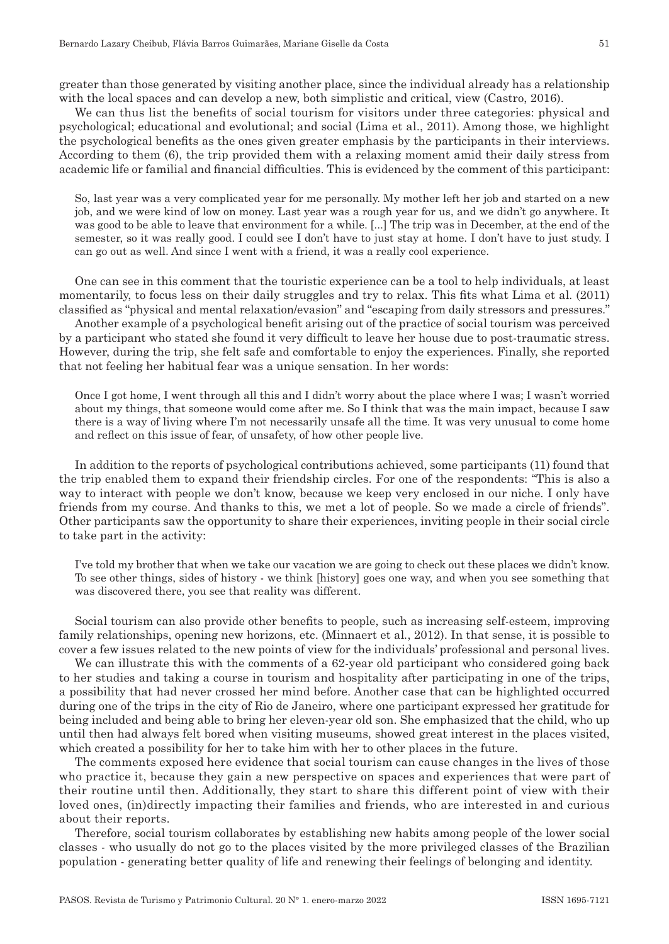greater than those generated by visiting another place, since the individual already has a relationship with the local spaces and can develop a new, both simplistic and critical, view (Castro, 2016).

We can thus list the benefits of social tourism for visitors under three categories: physical and psychological; educational and evolutional; and social (Lima et al., 2011). Among those, we highlight the psychological benefits as the ones given greater emphasis by the participants in their interviews. According to them (6), the trip provided them with a relaxing moment amid their daily stress from academic life or familial and financial difficulties. This is evidenced by the comment of this participant:

So, last year was a very complicated year for me personally. My mother left her job and started on a new job, and we were kind of low on money. Last year was a rough year for us, and we didn't go anywhere. It was good to be able to leave that environment for a while. [...] The trip was in December, at the end of the semester, so it was really good. I could see I don't have to just stay at home. I don't have to just study. I can go out as well. And since I went with a friend, it was a really cool experience.

One can see in this comment that the touristic experience can be a tool to help individuals, at least momentarily, to focus less on their daily struggles and try to relax. This fits what Lima et al*.* (2011) classified as "physical and mental relaxation/evasion" and "escaping from daily stressors and pressures."

Another example of a psychological benefit arising out of the practice of social tourism was perceived by a participant who stated she found it very difficult to leave her house due to post -traumatic stress. However, during the trip, she felt safe and comfortable to enjoy the experiences. Finally, she reported that not feeling her habitual fear was a unique sensation. In her words:

Once I got home, I went through all this and I didn't worry about the place where I was; I wasn't worried about my things, that someone would come after me. So I think that was the main impact, because I saw there is a way of living where I'm not necessarily unsafe all the time. It was very unusual to come home and reflect on this issue of fear, of unsafety, of how other people live.

In addition to the reports of psychological contributions achieved, some participants (11) found that the trip enabled them to expand their friendship circles. For one of the respondents: "This is also a way to interact with people we don't know, because we keep very enclosed in our niche. I only have friends from my course. And thanks to this, we met a lot of people. So we made a circle of friends". Other participants saw the opportunity to share their experiences, inviting people in their social circle to take part in the activity:

I've told my brother that when we take our vacation we are going to check out these places we didn't know. To see other things, sides of history - we think [history] goes one way, and when you see something that was discovered there, you see that reality was different.

Social tourism can also provide other benefits to people, such as increasing self -esteem, improving family relationships, opening new horizons, etc. (Minnaert et al*.*, 2012). In that sense, it is possible to cover a few issues related to the new points of view for the individuals' professional and personal lives.

We can illustrate this with the comments of a 62-year old participant who considered going back to her studies and taking a course in tourism and hospitality after participating in one of the trips, a possibility that had never crossed her mind before. Another case that can be highlighted occurred during one of the trips in the city of Rio de Janeiro, where one participant expressed her gratitude for being included and being able to bring her eleven -year old son. She emphasized that the child, who up until then had always felt bored when visiting museums, showed great interest in the places visited, which created a possibility for her to take him with her to other places in the future.

The comments exposed here evidence that social tourism can cause changes in the lives of those who practice it, because they gain a new perspective on spaces and experiences that were part of their routine until then. Additionally, they start to share this different point of view with their loved ones, (in)directly impacting their families and friends, who are interested in and curious about their reports.

Therefore, social tourism collaborates by establishing new habits among people of the lower social classes - who usually do not go to the places visited by the more privileged classes of the Brazilian population - generating better quality of life and renewing their feelings of belonging and identity.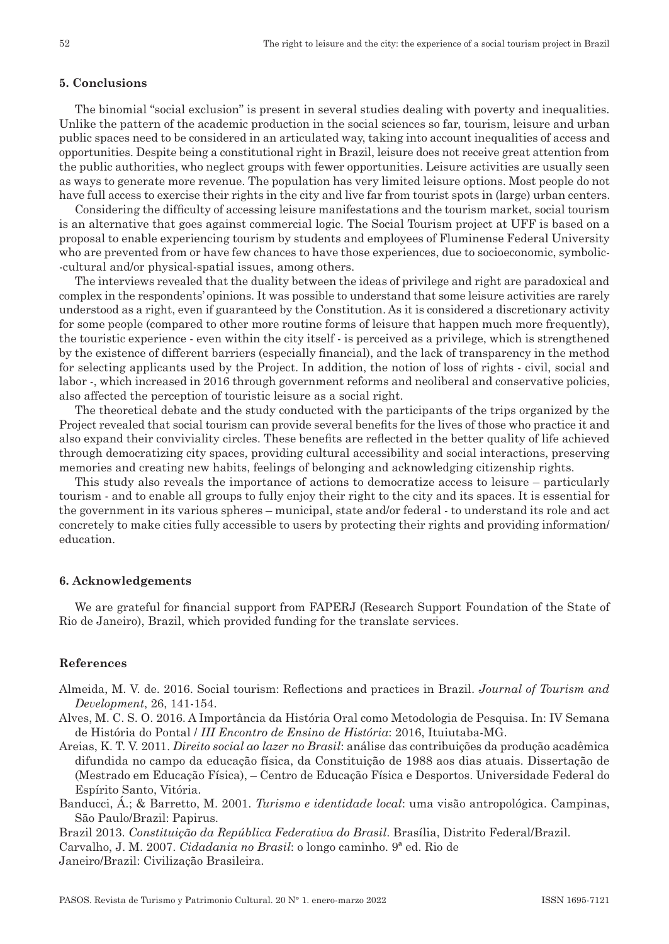## **5. Conclusions**

The binomial "social exclusion" is present in several studies dealing with poverty and inequalities. Unlike the pattern of the academic production in the social sciences so far, tourism, leisure and urban public spaces need to be considered in an articulated way, taking into account inequalities of access and opportunities. Despite being a constitutional right in Brazil, leisure does not receive great attention from the public authorities, who neglect groups with fewer opportunities. Leisure activities are usually seen as ways to generate more revenue. The population has very limited leisure options. Most people do not have full access to exercise their rights in the city and live far from tourist spots in (large) urban centers.

Considering the difficulty of accessing leisure manifestations and the tourism market, social tourism is an alternative that goes against commercial logic. The Social Tourism project at UFF is based on a proposal to enable experiencing tourism by students and employees of Fluminense Federal University who are prevented from or have few chances to have those experiences, due to socioeconomic, symbolic- -cultural and/or physical -spatial issues, among others.

The interviews revealed that the duality between the ideas of privilege and right are paradoxical and complex in the respondents' opinions. It was possible to understand that some leisure activities are rarely understood as a right, even if guaranteed by the Constitution. As it is considered a discretionary activity for some people (compared to other more routine forms of leisure that happen much more frequently), the touristic experience - even within the city itself - is perceived as a privilege, which is strengthened by the existence of different barriers (especially financial), and the lack of transparency in the method for selecting applicants used by the Project. In addition, the notion of loss of rights - civil, social and labor -, which increased in 2016 through government reforms and neoliberal and conservative policies, also affected the perception of touristic leisure as a social right.

The theoretical debate and the study conducted with the participants of the trips organized by the Project revealed that social tourism can provide several benefits for the lives of those who practice it and also expand their conviviality circles. These benefits are reflected in the better quality of life achieved through democratizing city spaces, providing cultural accessibility and social interactions, preserving memories and creating new habits, feelings of belonging and acknowledging citizenship rights.

This study also reveals the importance of actions to democratize access to leisure – particularly tourism - and to enable all groups to fully enjoy their right to the city and its spaces. It is essential for the government in its various spheres – municipal, state and/or federal - to understand its role and act concretely to make cities fully accessible to users by protecting their rights and providing information/ education.

#### **6. Acknowledgements**

We are grateful for financial support from FAPERJ (Research Support Foundation of the State of Rio de Janeiro), Brazil, which provided funding for the translate services.

#### **References**

- Almeida, M. V. de. 2016. Social tourism: Reflections and practices in Brazil. *Journal of Tourism and Development*, 26, 141 -154.
- Alves, M. C. S. O. 2016. A Importância da História Oral como Metodologia de Pesquisa. In: IV Semana de História do Pontal / *III Encontro de Ensino de História*: 2016, Ituiutaba -MG.
- Areias, K. T. V. 2011. *Direito social ao lazer no Brasil*: análise das contribuições da produção acadêmica difundida no campo da educação física, da Constituição de 1988 aos dias atuais. Dissertação de (Mestrado em Educação Física), – Centro de Educação Física e Desportos. Universidade Federal do Espírito Santo, Vitória.
- Banducci, Á.; & Barretto, M. 2001. *Turismo e identidade local*: uma visão antropológica. Campinas, São Paulo/Brazil: Papirus.
- Brazil 2013. *Constituição da República Federativa do Brasil*. Brasília, Distrito Federal/Brazil.

Carvalho, J. M. 2007. *Cidadania no Brasil*: o longo caminho. 9ª ed. Rio de

Janeiro/Brazil: Civilização Brasileira.